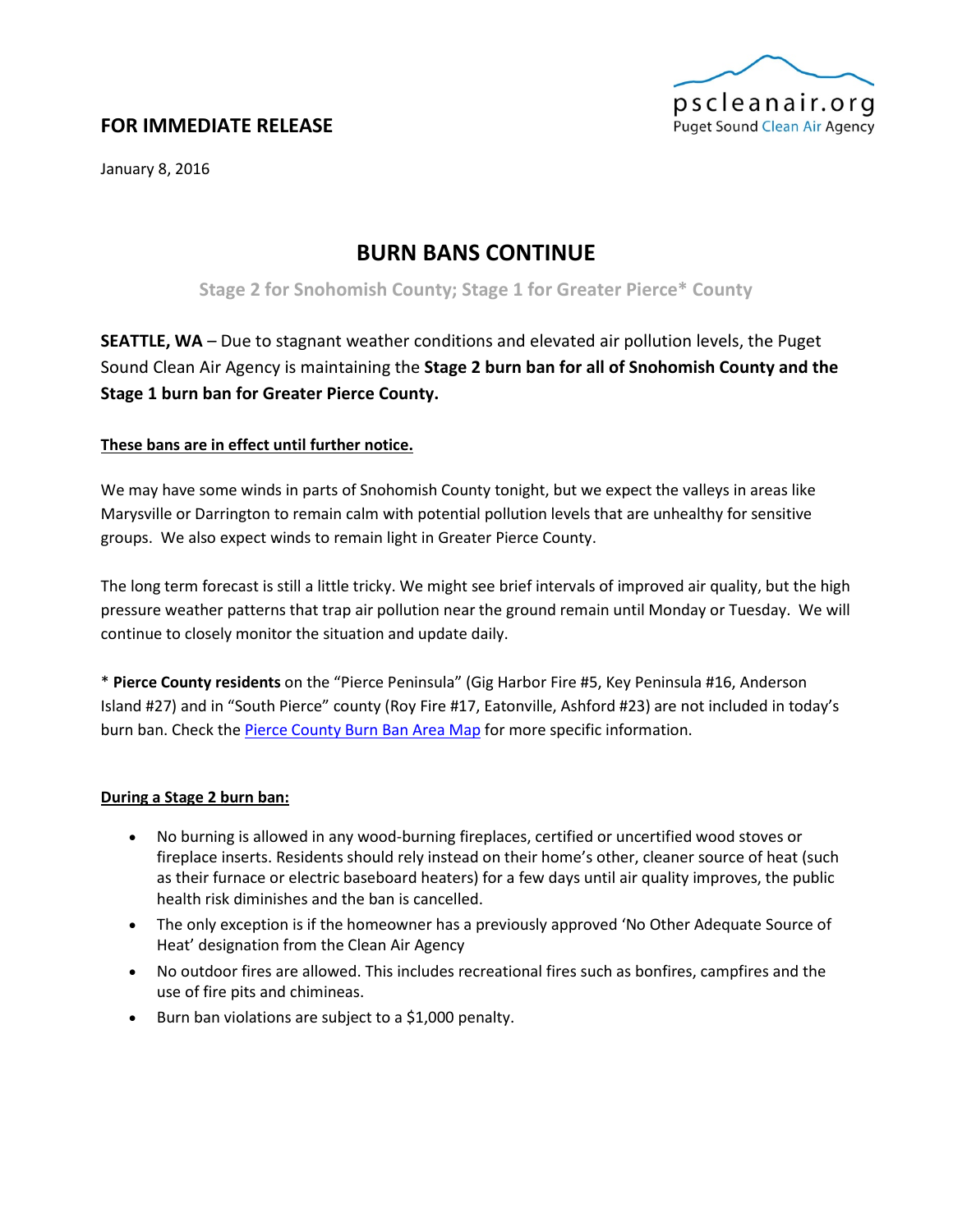

## **FOR IMMEDIATE RELEASE**

January 8, 2016

# **BURN BANS CONTINUE**

**Stage 2 for Snohomish County; Stage 1 for Greater Pierce\* County**

**SEATTLE, WA** – Due to stagnant weather conditions and elevated air pollution levels, the Puget Sound Clean Air Agency is maintaining the **Stage 2 burn ban for all of Snohomish County and the Stage 1 burn ban for Greater Pierce County.**

### **These bans are in effect until further notice.**

We may have some winds in parts of Snohomish County tonight, but we expect the valleys in areas like Marysville or Darrington to remain calm with potential pollution levels that are unhealthy for sensitive groups. We also expect winds to remain light in Greater Pierce County.

The long term forecast is still a little tricky. We might see brief intervals of improved air quality, but the high pressure weather patterns that trap air pollution near the ground remain until Monday or Tuesday. We will continue to closely monitor the situation and update daily.

\* **Pierce County residents** on the "Pierce Peninsula" (Gig Harbor Fire #5, Key Peninsula #16, Anderson Island #27) and in "South Pierce" county (Roy Fire #17, Eatonville, Ashford #23) are not included in today's burn ban. Check the [Pierce County Burn Ban Area Map](https://www.google.com/maps/d/viewer?mid=zmvqFrfm-cro.kweEx2mXIOyE) for more specific information.

#### **During a Stage 2 burn ban:**

- No burning is allowed in any wood-burning fireplaces, certified or uncertified wood stoves or fireplace inserts. Residents should rely instead on their home's other, cleaner source of heat (such as their furnace or electric baseboard heaters) for a few days until air quality improves, the public health risk diminishes and the ban is cancelled.
- The only exception is if the homeowner has a previously approved 'No Other Adequate Source of Heat' designation from the Clean Air Agency
- No outdoor fires are allowed. This includes recreational fires such as bonfires, campfires and the use of fire pits and chimineas.
- Burn ban violations are subject to a \$1,000 penalty.